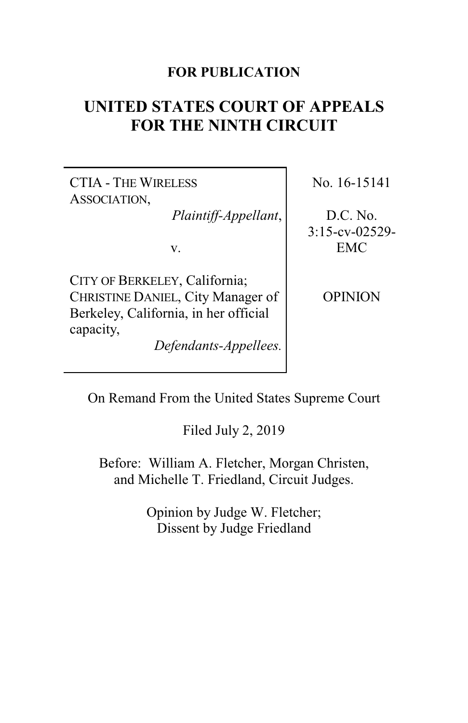## **FOR PUBLICATION**

# **UNITED STATES COURT OF APPEALS FOR THE NINTH CIRCUIT**

CTIA - THE WIRELESS ASSOCIATION,

*Plaintiff-Appellant*,

v.

CITY OF BERKELEY, California; CHRISTINE DANIEL, City Manager of Berkeley, California, in her official capacity,

*Defendants-Appellees.*

No. 16-15141

D.C. No. 3:15-cv-02529- EMC

**OPINION** 

On Remand From the United States Supreme Court

Filed July 2, 2019

Before: William A. Fletcher, Morgan Christen, and Michelle T. Friedland, Circuit Judges.

> Opinion by Judge W. Fletcher; Dissent by Judge Friedland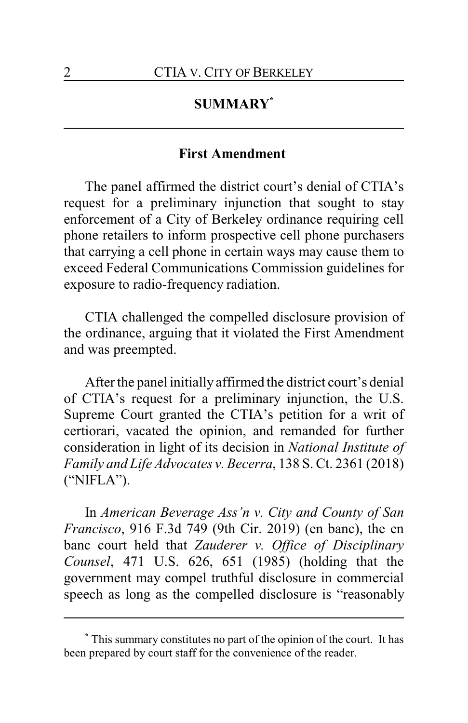# **SUMMARY\***

#### **First Amendment**

The panel affirmed the district court's denial of CTIA's request for a preliminary injunction that sought to stay enforcement of a City of Berkeley ordinance requiring cell phone retailers to inform prospective cell phone purchasers that carrying a cell phone in certain ways may cause them to exceed Federal Communications Commission guidelines for exposure to radio-frequency radiation.

CTIA challenged the compelled disclosure provision of the ordinance, arguing that it violated the First Amendment and was preempted.

After the panel initially affirmed the district court's denial of CTIA's request for a preliminary injunction, the U.S. Supreme Court granted the CTIA's petition for a writ of certiorari, vacated the opinion, and remanded for further consideration in light of its decision in *National Institute of Family and Life Advocates v. Becerra*, 138 S. Ct. 2361 (2018) ("NIFLA").

In *American Beverage Ass'n v. City and County of San Francisco*, 916 F.3d 749 (9th Cir. 2019) (en banc), the en banc court held that *Zauderer v. Office of Disciplinary Counsel*, 471 U.S. 626, 651 (1985) (holding that the government may compel truthful disclosure in commercial speech as long as the compelled disclosure is "reasonably

**<sup>\*</sup>** This summary constitutes no part of the opinion of the court. It has been prepared by court staff for the convenience of the reader.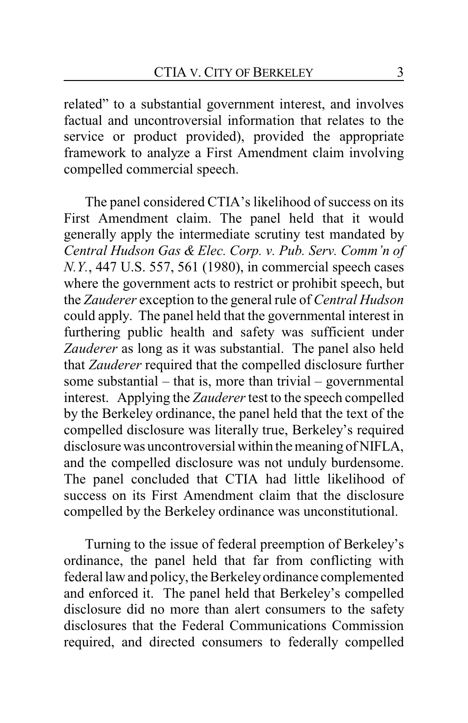related" to a substantial government interest, and involves factual and uncontroversial information that relates to the service or product provided), provided the appropriate framework to analyze a First Amendment claim involving compelled commercial speech.

The panel considered CTIA's likelihood of success on its First Amendment claim. The panel held that it would generally apply the intermediate scrutiny test mandated by *Central Hudson Gas & Elec. Corp. v. Pub. Serv. Comm'n of N.Y.*, 447 U.S. 557, 561 (1980), in commercial speech cases where the government acts to restrict or prohibit speech, but the *Zauderer* exception to the general rule of *Central Hudson* could apply. The panel held that the governmental interest in furthering public health and safety was sufficient under *Zauderer* as long as it was substantial. The panel also held that *Zauderer* required that the compelled disclosure further some substantial – that is, more than trivial – governmental interest. Applying the *Zauderer*test to the speech compelled by the Berkeley ordinance, the panel held that the text of the compelled disclosure was literally true, Berkeley's required disclosure was uncontroversial within the meaning of NIFLA, and the compelled disclosure was not unduly burdensome. The panel concluded that CTIA had little likelihood of success on its First Amendment claim that the disclosure compelled by the Berkeley ordinance was unconstitutional.

Turning to the issue of federal preemption of Berkeley's ordinance, the panel held that far from conflicting with federal law and policy, the Berkeleyordinance complemented and enforced it. The panel held that Berkeley's compelled disclosure did no more than alert consumers to the safety disclosures that the Federal Communications Commission required, and directed consumers to federally compelled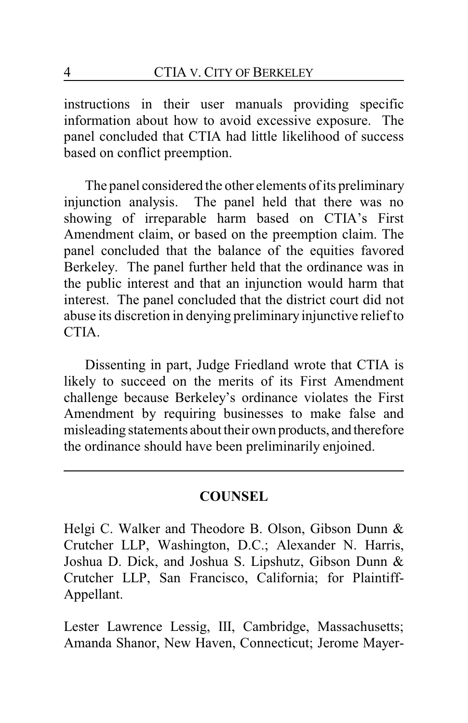instructions in their user manuals providing specific information about how to avoid excessive exposure. The panel concluded that CTIA had little likelihood of success based on conflict preemption.

The panel considered the other elements of its preliminary injunction analysis. The panel held that there was no showing of irreparable harm based on CTIA's First Amendment claim, or based on the preemption claim. The panel concluded that the balance of the equities favored Berkeley. The panel further held that the ordinance was in the public interest and that an injunction would harm that interest. The panel concluded that the district court did not abuse its discretion in denying preliminary injunctive relief to CTIA.

Dissenting in part, Judge Friedland wrote that CTIA is likely to succeed on the merits of its First Amendment challenge because Berkeley's ordinance violates the First Amendment by requiring businesses to make false and misleading statements about their own products, and therefore the ordinance should have been preliminarily enjoined.

### **COUNSEL**

Helgi C. Walker and Theodore B. Olson, Gibson Dunn & Crutcher LLP, Washington, D.C.; Alexander N. Harris, Joshua D. Dick, and Joshua S. Lipshutz, Gibson Dunn & Crutcher LLP, San Francisco, California; for Plaintiff-Appellant.

Lester Lawrence Lessig, III, Cambridge, Massachusetts; Amanda Shanor, New Haven, Connecticut; Jerome Mayer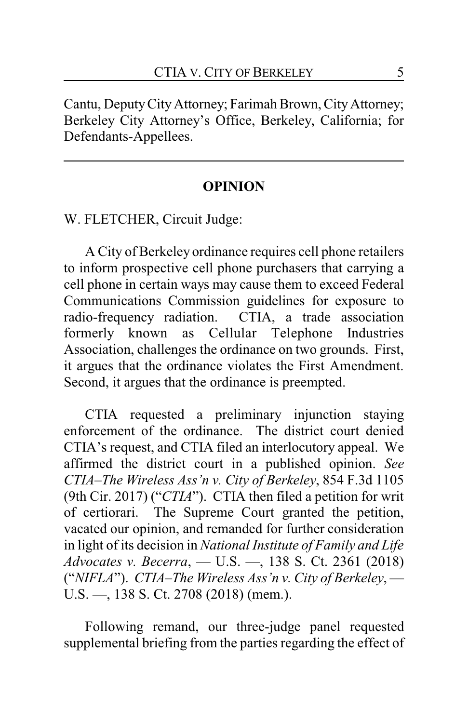Cantu, DeputyCity Attorney; Farimah Brown, CityAttorney; Berkeley City Attorney's Office, Berkeley, California; for Defendants-Appellees.

#### **OPINION**

W. FLETCHER, Circuit Judge:

A City of Berkeley ordinance requires cell phone retailers to inform prospective cell phone purchasers that carrying a cell phone in certain ways may cause them to exceed Federal Communications Commission guidelines for exposure to radio-frequency radiation. CTIA, a trade association formerly known as Cellular Telephone Industries Association, challenges the ordinance on two grounds. First, it argues that the ordinance violates the First Amendment. Second, it argues that the ordinance is preempted.

CTIA requested a preliminary injunction staying enforcement of the ordinance. The district court denied CTIA's request, and CTIA filed an interlocutory appeal. We affirmed the district court in a published opinion. *See CTIA–The Wireless Ass'n v. City of Berkeley*, 854 F.3d 1105 (9th Cir. 2017) ("*CTIA*"). CTIA then filed a petition for writ of certiorari. The Supreme Court granted the petition, vacated our opinion, and remanded for further consideration in light of its decision in *National Institute of Family and Life Advocates v. Becerra*, — U.S. —, 138 S. Ct. 2361 (2018) ("*NIFLA*"). *CTIA–The Wireless Ass'n v. City of Berkeley*, — U.S. —, 138 S. Ct. 2708 (2018) (mem.).

Following remand, our three-judge panel requested supplemental briefing from the parties regarding the effect of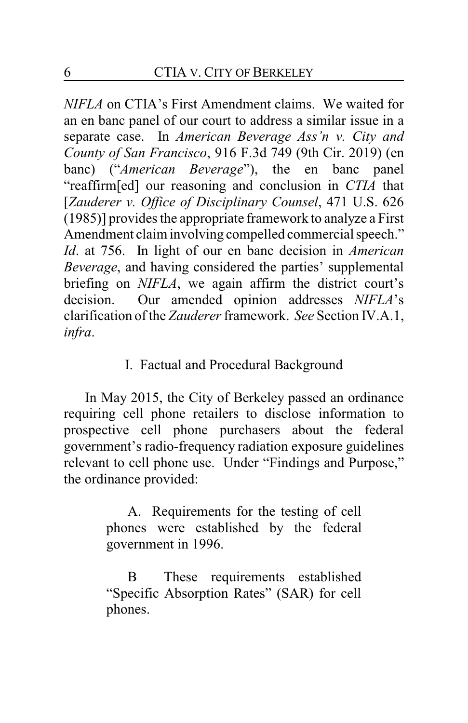*NIFLA* on CTIA's First Amendment claims. We waited for an en banc panel of our court to address a similar issue in a separate case. In *American Beverage Ass'n v. City and County of San Francisco*, 916 F.3d 749 (9th Cir. 2019) (en banc) ("*American Beverage*"), the en banc panel "reaffirm[ed] our reasoning and conclusion in *CTIA* that [*Zauderer v. Office of Disciplinary Counsel*, 471 U.S. 626 (1985)] provides the appropriate framework to analyze a First Amendment claim involving compelled commercial speech." *Id*. at 756. In light of our en banc decision in *American Beverage*, and having considered the parties' supplemental briefing on *NIFLA*, we again affirm the district court's decision. Our amended opinion addresses *NIFLA*'s clarification of the *Zauderer* framework. *See* Section IV.A.1, *infra*.

# I. Factual and Procedural Background

In May 2015, the City of Berkeley passed an ordinance requiring cell phone retailers to disclose information to prospective cell phone purchasers about the federal government's radio-frequency radiation exposure guidelines relevant to cell phone use. Under "Findings and Purpose," the ordinance provided:

> A. Requirements for the testing of cell phones were established by the federal government in 1996.

> B These requirements established "Specific Absorption Rates" (SAR) for cell phones.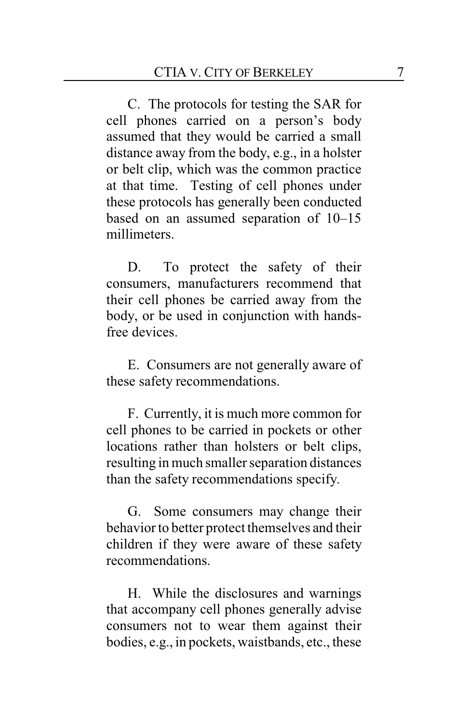C. The protocols for testing the SAR for cell phones carried on a person's body assumed that they would be carried a small distance away from the body, e.g., in a holster or belt clip, which was the common practice at that time. Testing of cell phones under these protocols has generally been conducted based on an assumed separation of 10–15 millimeters.

D. To protect the safety of their consumers, manufacturers recommend that their cell phones be carried away from the body, or be used in conjunction with handsfree devices.

E. Consumers are not generally aware of these safety recommendations.

F. Currently, it is much more common for cell phones to be carried in pockets or other locations rather than holsters or belt clips, resulting in much smaller separation distances than the safety recommendations specify.

G. Some consumers may change their behavior to better protect themselves and their children if they were aware of these safety recommendations.

H. While the disclosures and warnings that accompany cell phones generally advise consumers not to wear them against their bodies, e.g., in pockets, waistbands, etc., these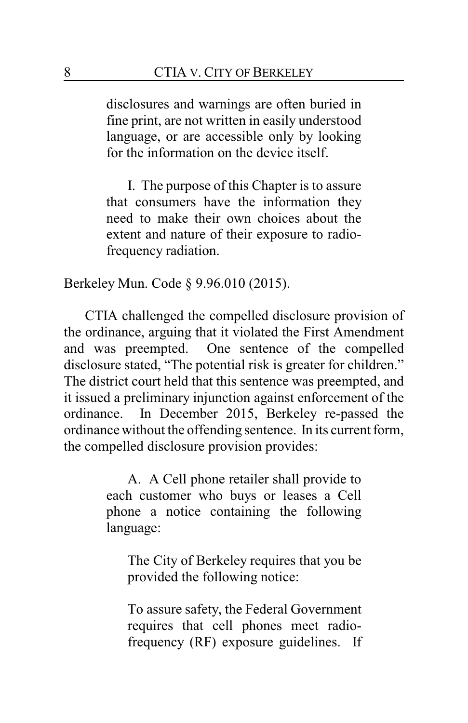disclosures and warnings are often buried in fine print, are not written in easily understood language, or are accessible only by looking for the information on the device itself.

I. The purpose of this Chapter is to assure that consumers have the information they need to make their own choices about the extent and nature of their exposure to radiofrequency radiation.

Berkeley Mun. Code § 9.96.010 (2015).

CTIA challenged the compelled disclosure provision of the ordinance, arguing that it violated the First Amendment and was preempted. One sentence of the compelled disclosure stated, "The potential risk is greater for children." The district court held that this sentence was preempted, and it issued a preliminary injunction against enforcement of the ordinance. In December 2015, Berkeley re-passed the ordinance without the offending sentence. In its current form, the compelled disclosure provision provides:

> A. A Cell phone retailer shall provide to each customer who buys or leases a Cell phone a notice containing the following language:

The City of Berkeley requires that you be provided the following notice:

To assure safety, the Federal Government requires that cell phones meet radiofrequency (RF) exposure guidelines. If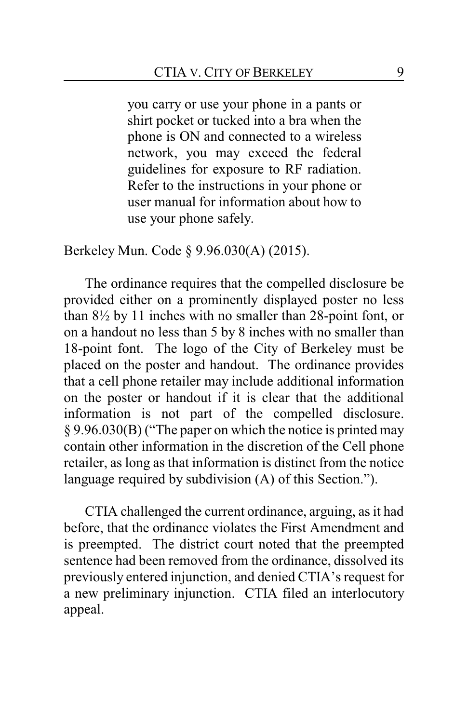you carry or use your phone in a pants or shirt pocket or tucked into a bra when the phone is ON and connected to a wireless network, you may exceed the federal guidelines for exposure to RF radiation. Refer to the instructions in your phone or user manual for information about how to use your phone safely.

Berkeley Mun. Code § 9.96.030(A) (2015).

The ordinance requires that the compelled disclosure be provided either on a prominently displayed poster no less than 8½ by 11 inches with no smaller than 28-point font, or on a handout no less than 5 by 8 inches with no smaller than 18-point font. The logo of the City of Berkeley must be placed on the poster and handout. The ordinance provides that a cell phone retailer may include additional information on the poster or handout if it is clear that the additional information is not part of the compelled disclosure. § 9.96.030(B) ("The paper on which the notice is printed may contain other information in the discretion of the Cell phone retailer, as long as that information is distinct from the notice language required by subdivision (A) of this Section.").

CTIA challenged the current ordinance, arguing, as it had before, that the ordinance violates the First Amendment and is preempted. The district court noted that the preempted sentence had been removed from the ordinance, dissolved its previously entered injunction, and denied CTIA's request for a new preliminary injunction. CTIA filed an interlocutory appeal.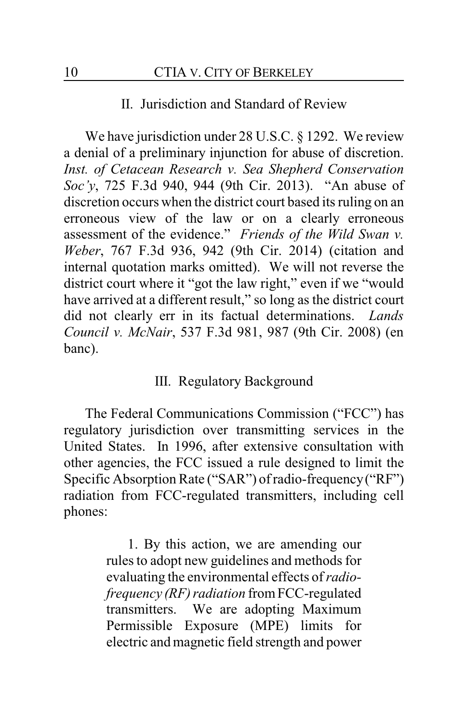#### II. Jurisdiction and Standard of Review

We have jurisdiction under 28 U.S.C. § 1292. We review a denial of a preliminary injunction for abuse of discretion. *Inst. of Cetacean Research v. Sea Shepherd Conservation Soc'y*, 725 F.3d 940, 944 (9th Cir. 2013). "An abuse of discretion occurs when the district court based its ruling on an erroneous view of the law or on a clearly erroneous assessment of the evidence." *Friends of the Wild Swan v. Weber*, 767 F.3d 936, 942 (9th Cir. 2014) (citation and internal quotation marks omitted). We will not reverse the district court where it "got the law right," even if we "would have arrived at a different result," so long as the district court did not clearly err in its factual determinations. *Lands Council v. McNair*, 537 F.3d 981, 987 (9th Cir. 2008) (en banc).

#### III. Regulatory Background

The Federal Communications Commission ("FCC") has regulatory jurisdiction over transmitting services in the United States. In 1996, after extensive consultation with other agencies, the FCC issued a rule designed to limit the Specific Absorption Rate ("SAR") of radio-frequency("RF") radiation from FCC-regulated transmitters, including cell phones:

> 1. By this action, we are amending our rules to adopt new guidelines and methods for evaluating the environmental effects of *radiofrequency (RF) radiation* from FCC-regulated transmitters. We are adopting Maximum Permissible Exposure (MPE) limits for electric and magnetic field strength and power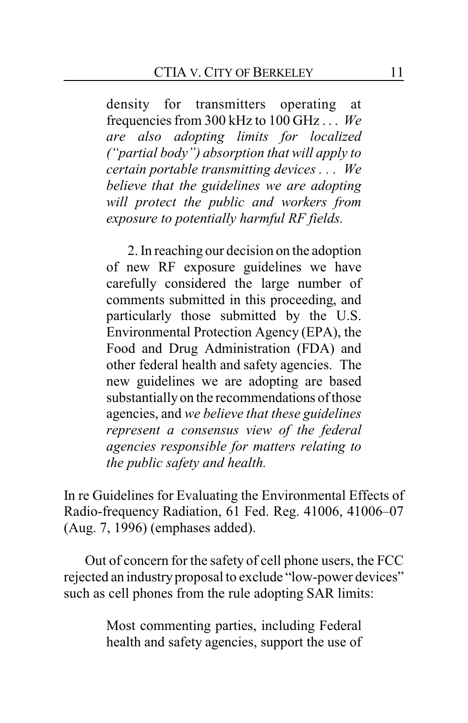density for transmitters operating at frequencies from 300 kHz to 100 GHz . . . *We are also adopting limits for localized ("partial body") absorption that will apply to certain portable transmitting devices . . . We believe that the guidelines we are adopting will protect the public and workers from exposure to potentially harmful RF fields.*

2. In reaching our decision on the adoption of new RF exposure guidelines we have carefully considered the large number of comments submitted in this proceeding, and particularly those submitted by the U.S. Environmental Protection Agency (EPA), the Food and Drug Administration (FDA) and other federal health and safety agencies. The new guidelines we are adopting are based substantiallyon the recommendations of those agencies, and *we believe that these guidelines represent a consensus view of the federal agencies responsible for matters relating to the public safety and health.*

In re Guidelines for Evaluating the Environmental Effects of Radio-frequency Radiation, 61 Fed. Reg. 41006, 41006–07 (Aug. 7, 1996) (emphases added).

Out of concern for the safety of cell phone users, the FCC rejected an industry proposal to exclude "low-power devices" such as cell phones from the rule adopting SAR limits:

> Most commenting parties, including Federal health and safety agencies, support the use of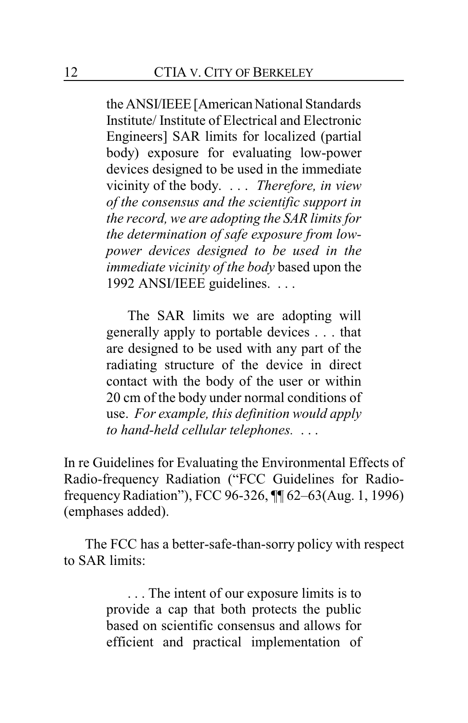the ANSI/IEEE[AmericanNational Standards Institute/ Institute of Electrical and Electronic Engineers] SAR limits for localized (partial body) exposure for evaluating low-power devices designed to be used in the immediate vicinity of the body. . . . *Therefore, in view of the consensus and the scientific support in the record, we are adopting the SAR limits for the determination of safe exposure from lowpower devices designed to be used in the immediate vicinity of the body* based upon the 1992 ANSI/IEEE guidelines. . . .

The SAR limits we are adopting will generally apply to portable devices . . . that are designed to be used with any part of the radiating structure of the device in direct contact with the body of the user or within 20 cm of the body under normal conditions of use. *For example, this definition would apply to hand-held cellular telephones.* . . .

In re Guidelines for Evaluating the Environmental Effects of Radio-frequency Radiation ("FCC Guidelines for RadiofrequencyRadiation"), FCC 96-326, ¶¶ 62–63(Aug. 1, 1996) (emphases added).

The FCC has a better-safe-than-sorry policy with respect to SAR limits:

> . . . The intent of our exposure limits is to provide a cap that both protects the public based on scientific consensus and allows for efficient and practical implementation of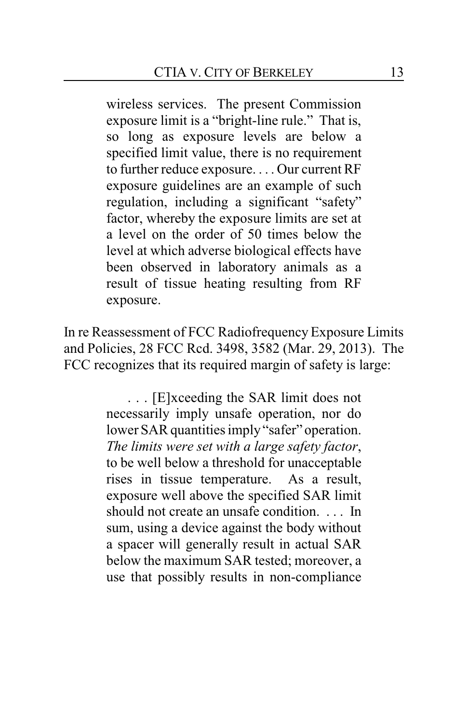wireless services. The present Commission exposure limit is a "bright-line rule." That is, so long as exposure levels are below a specified limit value, there is no requirement to further reduce exposure. . . . Our current RF exposure guidelines are an example of such regulation, including a significant "safety" factor, whereby the exposure limits are set at a level on the order of 50 times below the level at which adverse biological effects have been observed in laboratory animals as a result of tissue heating resulting from RF exposure.

In re Reassessment of FCC Radiofrequency Exposure Limits and Policies, 28 FCC Rcd. 3498, 3582 (Mar. 29, 2013). The FCC recognizes that its required margin of safety is large:

> . . . [E]xceeding the SAR limit does not necessarily imply unsafe operation, nor do lower SAR quantities imply "safer" operation. *The limits were set with a large safety factor*, to be well below a threshold for unacceptable rises in tissue temperature. As a result, exposure well above the specified SAR limit should not create an unsafe condition. . . . In sum, using a device against the body without a spacer will generally result in actual SAR below the maximum SAR tested; moreover, a use that possibly results in non-compliance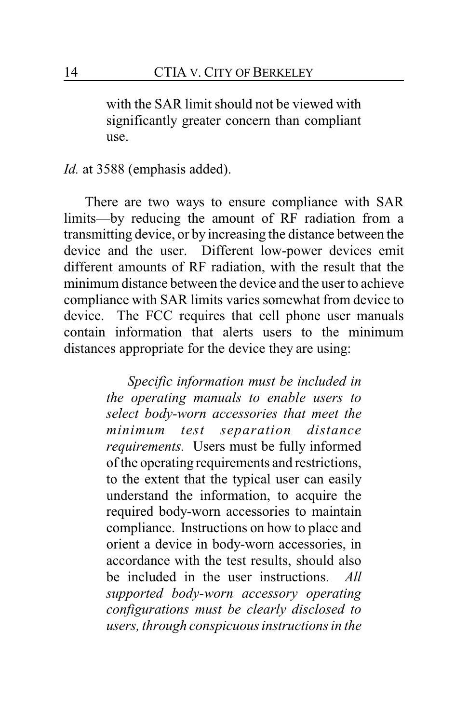with the SAR limit should not be viewed with significantly greater concern than compliant use.

*Id.* at 3588 (emphasis added).

There are two ways to ensure compliance with SAR limits—by reducing the amount of RF radiation from a transmitting device, or by increasing the distance between the device and the user. Different low-power devices emit different amounts of RF radiation, with the result that the minimum distance between the device and the user to achieve compliance with SAR limits varies somewhat from device to device. The FCC requires that cell phone user manuals contain information that alerts users to the minimum distances appropriate for the device they are using:

> *Specific information must be included in the operating manuals to enable users to select body-worn accessories that meet the minimum test separation distance requirements.* Users must be fully informed of the operating requirements and restrictions, to the extent that the typical user can easily understand the information, to acquire the required body-worn accessories to maintain compliance. Instructions on how to place and orient a device in body-worn accessories, in accordance with the test results, should also be included in the user instructions. *All supported body-worn accessory operating configurations must be clearly disclosed to users, through conspicuous instructions in the*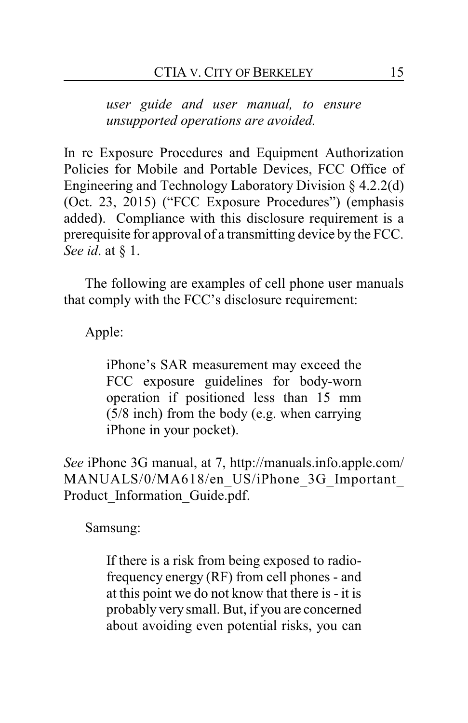*user guide and user manual, to ensure unsupported operations are avoided.*

In re Exposure Procedures and Equipment Authorization Policies for Mobile and Portable Devices, FCC Office of Engineering and Technology Laboratory Division § 4.2.2(d) (Oct. 23, 2015) ("FCC Exposure Procedures") (emphasis added). Compliance with this disclosure requirement is a prerequisite for approval of a transmitting device by the FCC. *See id*. at § 1.

The following are examples of cell phone user manuals that comply with the FCC's disclosure requirement:

Apple:

iPhone's SAR measurement may exceed the FCC exposure guidelines for body-worn operation if positioned less than 15 mm (5/8 inch) from the body (e.g. when carrying iPhone in your pocket).

*See* iPhone 3G manual, at 7, http://manuals.info.apple.com/ MANUALS/0/MA618/en US/iPhone 3G Important Product Information Guide.pdf.

Samsung:

If there is a risk from being exposed to radiofrequency energy (RF) from cell phones - and at this point we do not know that there is - it is probably very small. But, if you are concerned about avoiding even potential risks, you can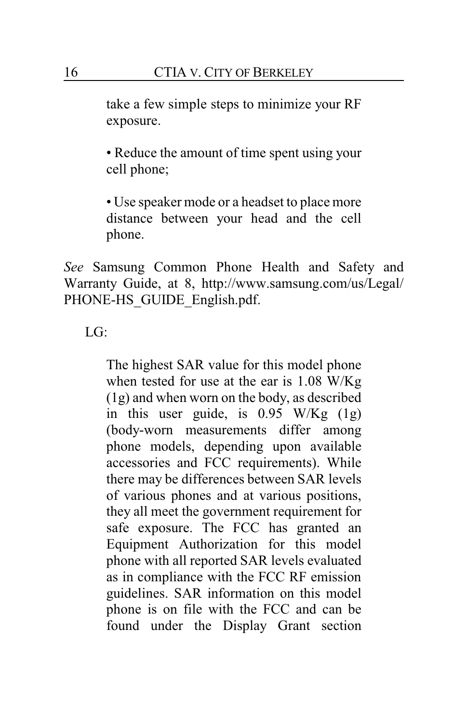take a few simple steps to minimize your RF exposure.

• Reduce the amount of time spent using your cell phone;

• Use speaker mode or a headset to place more distance between your head and the cell phone.

*See* Samsung Common Phone Health and Safety and Warranty Guide, at 8, http://www.samsung.com/us/Legal/ PHONE-HS\_GUIDE\_English.pdf.

LG:

The highest SAR value for this model phone when tested for use at the ear is 1.08 W/Kg (1g) and when worn on the body, as described in this user guide, is 0.95 W/Kg (1g) (body-worn measurements differ among phone models, depending upon available accessories and FCC requirements). While there may be differences between SAR levels of various phones and at various positions, they all meet the government requirement for safe exposure. The FCC has granted an Equipment Authorization for this model phone with all reported SAR levels evaluated as in compliance with the FCC RF emission guidelines. SAR information on this model phone is on file with the FCC and can be found under the Display Grant section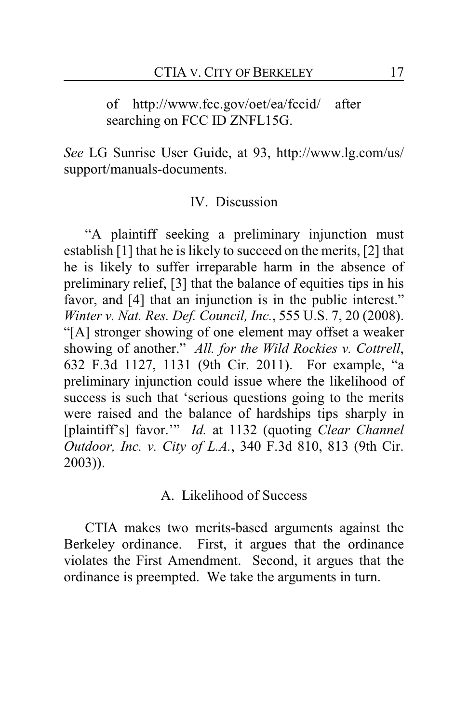of http://www.fcc.gov/oet/ea/fccid/ after searching on FCC ID ZNFL15G.

*See* LG Sunrise User Guide, at 93, http://www.lg.com/us/ support/manuals-documents.

#### IV. Discussion

"A plaintiff seeking a preliminary injunction must establish [1] that he is likely to succeed on the merits, [2] that he is likely to suffer irreparable harm in the absence of preliminary relief, [3] that the balance of equities tips in his favor, and [4] that an injunction is in the public interest." *Winter v. Nat. Res. Def. Council, Inc.*, 555 U.S. 7, 20 (2008). "[A] stronger showing of one element may offset a weaker showing of another." *All. for the Wild Rockies v. Cottrell*, 632 F.3d 1127, 1131 (9th Cir. 2011). For example, "a preliminary injunction could issue where the likelihood of success is such that 'serious questions going to the merits were raised and the balance of hardships tips sharply in [plaintiff's] favor.'" *Id.* at 1132 (quoting *Clear Channel Outdoor, Inc. v. City of L.A.*, 340 F.3d 810, 813 (9th Cir. 2003)).

#### A. Likelihood of Success

CTIA makes two merits-based arguments against the Berkeley ordinance. First, it argues that the ordinance violates the First Amendment. Second, it argues that the ordinance is preempted. We take the arguments in turn.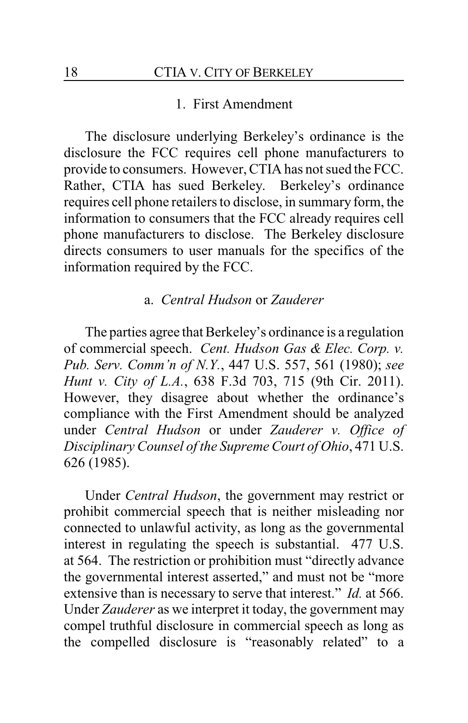#### 1. First Amendment

The disclosure underlying Berkeley's ordinance is the disclosure the FCC requires cell phone manufacturers to provide to consumers. However, CTIA has not sued the FCC. Rather, CTIA has sued Berkeley. Berkeley's ordinance requires cell phone retailers to disclose, in summary form, the information to consumers that the FCC already requires cell phone manufacturers to disclose. The Berkeley disclosure directs consumers to user manuals for the specifics of the information required by the FCC.

#### a. *Central Hudson* or *Zauderer*

The parties agree that Berkeley's ordinance is a regulation of commercial speech. *Cent. Hudson Gas & Elec. Corp. v. Pub. Serv. Comm'n of N.Y.*, 447 U.S. 557, 561 (1980); *see Hunt v. City of L.A.*, 638 F.3d 703, 715 (9th Cir. 2011). However, they disagree about whether the ordinance's compliance with the First Amendment should be analyzed under *Central Hudson* or under *Zauderer v. Office of Disciplinary Counsel of the Supreme Court of Ohio*, 471 U.S. 626 (1985).

Under *Central Hudson*, the government may restrict or prohibit commercial speech that is neither misleading nor connected to unlawful activity, as long as the governmental interest in regulating the speech is substantial. 477 U.S. at 564. The restriction or prohibition must "directly advance the governmental interest asserted," and must not be "more extensive than is necessary to serve that interest." *Id.* at 566. Under *Zauderer* as we interpret it today, the government may compel truthful disclosure in commercial speech as long as the compelled disclosure is "reasonably related" to a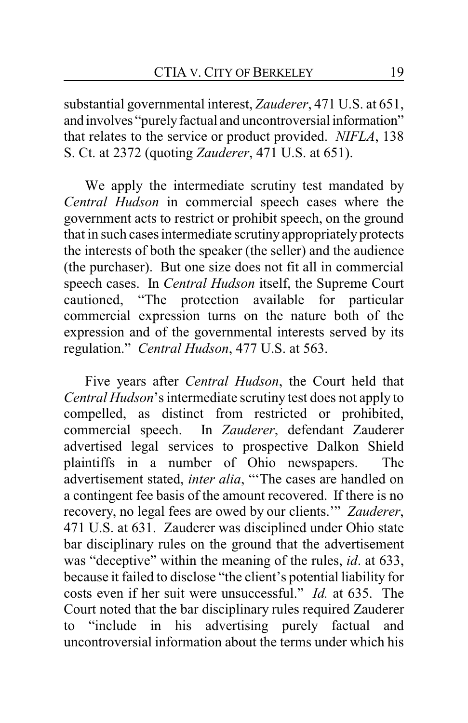substantial governmental interest, *Zauderer*, 471 U.S. at 651, and involves "purelyfactual and uncontroversial information" that relates to the service or product provided. *NIFLA*, 138 S. Ct. at 2372 (quoting *Zauderer*, 471 U.S. at 651).

We apply the intermediate scrutiny test mandated by *Central Hudson* in commercial speech cases where the government acts to restrict or prohibit speech, on the ground that in such cases intermediate scrutiny appropriately protects the interests of both the speaker (the seller) and the audience (the purchaser). But one size does not fit all in commercial speech cases. In *Central Hudson* itself, the Supreme Court cautioned, "The protection available for particular commercial expression turns on the nature both of the expression and of the governmental interests served by its regulation." *Central Hudson*, 477 U.S. at 563.

Five years after *Central Hudson*, the Court held that *Central Hudson*'s intermediate scrutiny test does not apply to compelled, as distinct from restricted or prohibited, commercial speech. In *Zauderer*, defendant Zauderer advertised legal services to prospective Dalkon Shield plaintiffs in a number of Ohio newspapers. The advertisement stated, *inter alia*, "'The cases are handled on a contingent fee basis of the amount recovered. If there is no recovery, no legal fees are owed by our clients.'" *Zauderer*, 471 U.S. at 631. Zauderer was disciplined under Ohio state bar disciplinary rules on the ground that the advertisement was "deceptive" within the meaning of the rules, *id*. at 633, because it failed to disclose "the client's potential liability for costs even if her suit were unsuccessful." *Id.* at 635. The Court noted that the bar disciplinary rules required Zauderer to "include in his advertising purely factual and uncontroversial information about the terms under which his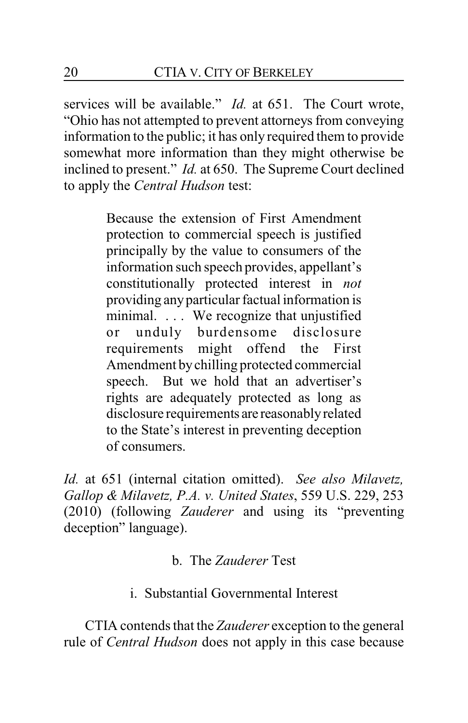services will be available." *Id.* at 651. The Court wrote, "Ohio has not attempted to prevent attorneys from conveying information to the public; it has only required them to provide somewhat more information than they might otherwise be inclined to present." *Id.* at 650. The Supreme Court declined to apply the *Central Hudson* test:

> Because the extension of First Amendment protection to commercial speech is justified principally by the value to consumers of the information such speech provides, appellant's constitutionally protected interest in *not* providing anyparticular factual information is minimal. . . . We recognize that unjustified or unduly burdensome disclosure requirements might offend the First Amendment bychilling protected commercial speech. But we hold that an advertiser's rights are adequately protected as long as disclosure requirements are reasonablyrelated to the State's interest in preventing deception of consumers.

*Id.* at 651 (internal citation omitted). *See also Milavetz, Gallop & Milavetz, P.A. v. United States*, 559 U.S. 229, 253 (2010) (following *Zauderer* and using its "preventing deception" language).

b. The *Zauderer* Test

# i. Substantial Governmental Interest

CTIA contends that the *Zauderer* exception to the general rule of *Central Hudson* does not apply in this case because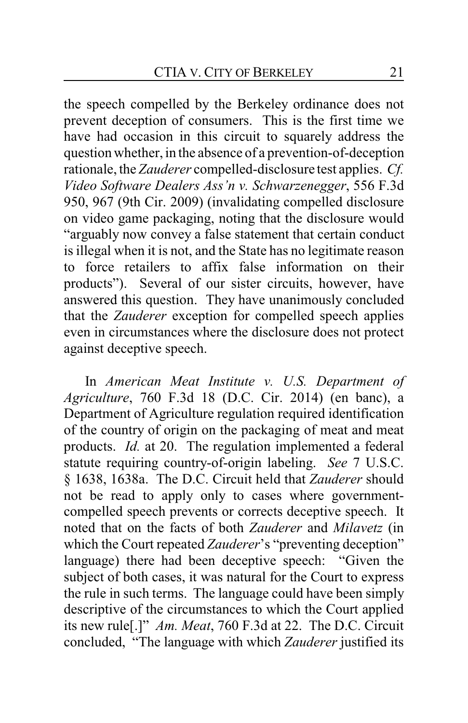the speech compelled by the Berkeley ordinance does not prevent deception of consumers. This is the first time we have had occasion in this circuit to squarely address the question whether, in the absence of a prevention-of-deception rationale, the *Zauderer* compelled-disclosure test applies. *Cf. Video Software Dealers Ass'n v. Schwarzenegger*, 556 F.3d 950, 967 (9th Cir. 2009) (invalidating compelled disclosure on video game packaging, noting that the disclosure would "arguably now convey a false statement that certain conduct is illegal when it is not, and the State has no legitimate reason to force retailers to affix false information on their products"). Several of our sister circuits, however, have answered this question. They have unanimously concluded that the *Zauderer* exception for compelled speech applies even in circumstances where the disclosure does not protect against deceptive speech.

In *American Meat Institute v. U.S. Department of Agriculture*, 760 F.3d 18 (D.C. Cir. 2014) (en banc), a Department of Agriculture regulation required identification of the country of origin on the packaging of meat and meat products. *Id.* at 20. The regulation implemented a federal statute requiring country-of-origin labeling. *See* 7 U.S.C. § 1638, 1638a. The D.C. Circuit held that *Zauderer* should not be read to apply only to cases where governmentcompelled speech prevents or corrects deceptive speech. It noted that on the facts of both *Zauderer* and *Milavetz* (in which the Court repeated *Zauderer*'s "preventing deception" language) there had been deceptive speech: "Given the subject of both cases, it was natural for the Court to express the rule in such terms. The language could have been simply descriptive of the circumstances to which the Court applied its new rule[.]" *Am. Meat*, 760 F.3d at 22. The D.C. Circuit concluded, "The language with which *Zauderer* justified its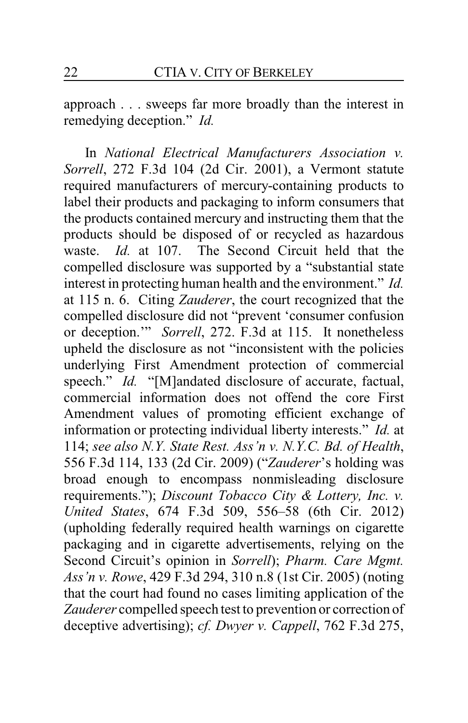approach . . . sweeps far more broadly than the interest in remedying deception." *Id.*

In *National Electrical Manufacturers Association v. Sorrell*, 272 F.3d 104 (2d Cir. 2001), a Vermont statute required manufacturers of mercury-containing products to label their products and packaging to inform consumers that the products contained mercury and instructing them that the products should be disposed of or recycled as hazardous waste. *Id.* at 107. The Second Circuit held that the compelled disclosure was supported by a "substantial state interest in protecting human health and the environment." *Id.* at 115 n. 6. Citing *Zauderer*, the court recognized that the compelled disclosure did not "prevent 'consumer confusion or deception.'" *Sorrell*, 272. F.3d at 115. It nonetheless upheld the disclosure as not "inconsistent with the policies underlying First Amendment protection of commercial speech." *Id.* "[M]andated disclosure of accurate, factual, commercial information does not offend the core First Amendment values of promoting efficient exchange of information or protecting individual liberty interests." *Id.* at 114; *see also N.Y. State Rest. Ass'n v. N.Y.C. Bd. of Health*, 556 F.3d 114, 133 (2d Cir. 2009) ("*Zauderer*'s holding was broad enough to encompass nonmisleading disclosure requirements."); *Discount Tobacco City & Lottery, Inc. v. United States*, 674 F.3d 509, 556–58 (6th Cir. 2012) (upholding federally required health warnings on cigarette packaging and in cigarette advertisements, relying on the Second Circuit's opinion in *Sorrell*); *Pharm. Care Mgmt. Ass'n v. Rowe*, 429 F.3d 294, 310 n.8 (1st Cir. 2005) (noting that the court had found no cases limiting application of the *Zauderer* compelled speech test to prevention or correction of deceptive advertising); *cf. Dwyer v. Cappell*, 762 F.3d 275,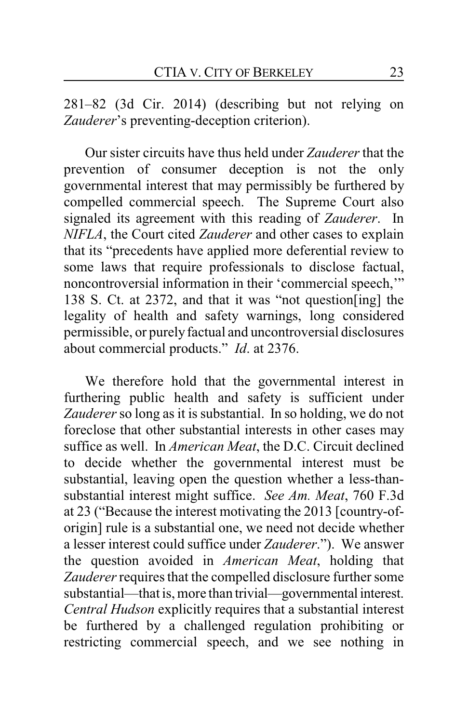281–82 (3d Cir. 2014) (describing but not relying on *Zauderer*'s preventing-deception criterion).

Our sister circuits have thus held under *Zauderer* that the prevention of consumer deception is not the only governmental interest that may permissibly be furthered by compelled commercial speech. The Supreme Court also signaled its agreement with this reading of *Zauderer*. In *NIFLA*, the Court cited *Zauderer* and other cases to explain that its "precedents have applied more deferential review to some laws that require professionals to disclose factual, noncontroversial information in their 'commercial speech,'" 138 S. Ct. at 2372, and that it was "not question[ing] the legality of health and safety warnings, long considered permissible, or purely factual and uncontroversial disclosures about commercial products." *Id*. at 2376.

We therefore hold that the governmental interest in furthering public health and safety is sufficient under *Zauderer* so long as it is substantial. In so holding, we do not foreclose that other substantial interests in other cases may suffice as well. In *American Meat*, the D.C. Circuit declined to decide whether the governmental interest must be substantial, leaving open the question whether a less-thansubstantial interest might suffice. *See Am. Meat*, 760 F.3d at 23 ("Because the interest motivating the 2013 [country-oforigin] rule is a substantial one, we need not decide whether a lesser interest could suffice under *Zauderer*."). We answer the question avoided in *American Meat*, holding that *Zauderer*requires that the compelled disclosure further some substantial—that is, more than trivial—governmental interest. *Central Hudson* explicitly requires that a substantial interest be furthered by a challenged regulation prohibiting or restricting commercial speech, and we see nothing in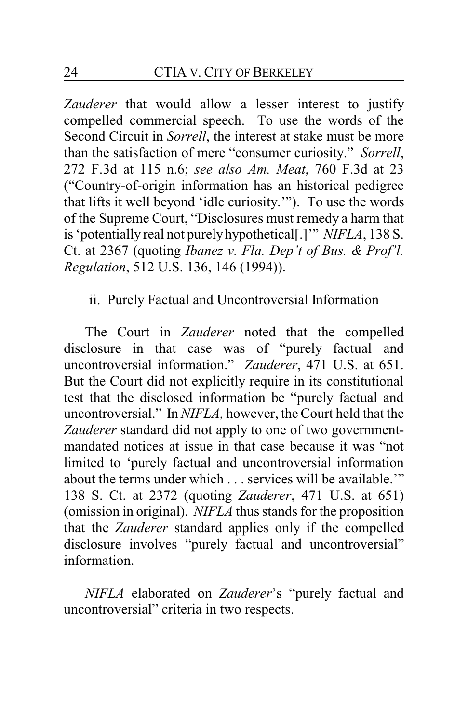*Zauderer* that would allow a lesser interest to justify compelled commercial speech. To use the words of the Second Circuit in *Sorrell*, the interest at stake must be more than the satisfaction of mere "consumer curiosity." *Sorrell*, 272 F.3d at 115 n.6; *see also Am. Meat*, 760 F.3d at 23 ("Country-of-origin information has an historical pedigree that lifts it well beyond 'idle curiosity.'"). To use the words of the Supreme Court, "Disclosures must remedy a harm that is 'potentially real not purelyhypothetical[.]'" *NIFLA*, 138 S. Ct. at 2367 (quoting *Ibanez v. Fla. Dep't of Bus. & Prof'l. Regulation*, 512 U.S. 136, 146 (1994)).

#### ii. Purely Factual and Uncontroversial Information

The Court in *Zauderer* noted that the compelled disclosure in that case was of "purely factual and uncontroversial information." *Zauderer*, 471 U.S. at 651. But the Court did not explicitly require in its constitutional test that the disclosed information be "purely factual and uncontroversial." In *NIFLA,* however, the Court held that the *Zauderer* standard did not apply to one of two governmentmandated notices at issue in that case because it was "not limited to 'purely factual and uncontroversial information about the terms under which . . . services will be available.'" 138 S. Ct. at 2372 (quoting *Zauderer*, 471 U.S. at 651) (omission in original). *NIFLA* thus stands for the proposition that the *Zauderer* standard applies only if the compelled disclosure involves "purely factual and uncontroversial" information.

*NIFLA* elaborated on *Zauderer*'s "purely factual and uncontroversial" criteria in two respects.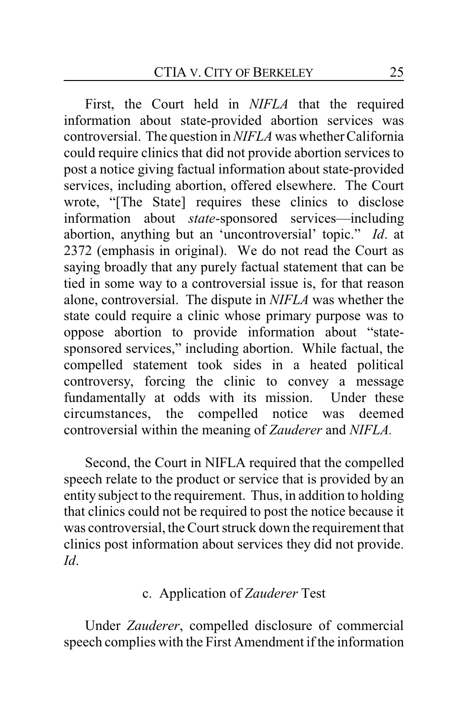First, the Court held in *NIFLA* that the required information about state-provided abortion services was controversial. The question in *NIFLA* was whether California could require clinics that did not provide abortion services to post a notice giving factual information about state-provided services, including abortion, offered elsewhere. The Court wrote, "[The State] requires these clinics to disclose information about *state*-sponsored services—including abortion, anything but an 'uncontroversial' topic." *Id*. at 2372 (emphasis in original). We do not read the Court as saying broadly that any purely factual statement that can be tied in some way to a controversial issue is, for that reason alone, controversial. The dispute in *NIFLA* was whether the state could require a clinic whose primary purpose was to oppose abortion to provide information about "statesponsored services," including abortion. While factual, the compelled statement took sides in a heated political controversy, forcing the clinic to convey a message fundamentally at odds with its mission. Under these circumstances, the compelled notice was deemed controversial within the meaning of *Zauderer* and *NIFLA.*

Second, the Court in NIFLA required that the compelled speech relate to the product or service that is provided by an entity subject to the requirement. Thus, in addition to holding that clinics could not be required to post the notice because it was controversial, the Court struck down the requirement that clinics post information about services they did not provide. *Id*.

## c. Application of *Zauderer* Test

Under *Zauderer*, compelled disclosure of commercial speech complies with the First Amendment if the information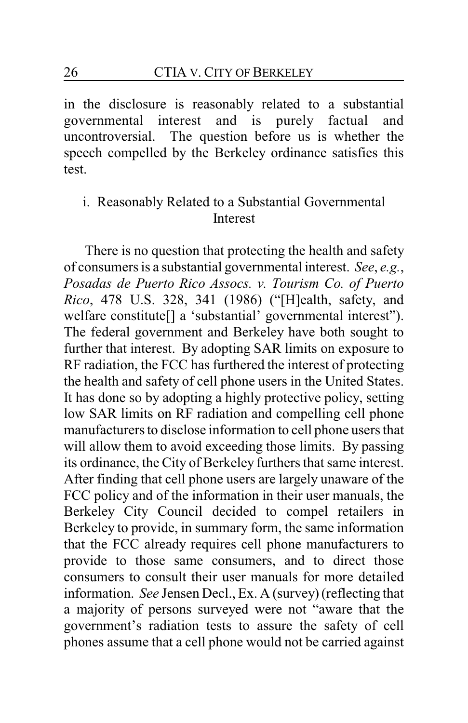in the disclosure is reasonably related to a substantial governmental interest and is purely factual and uncontroversial. The question before us is whether the speech compelled by the Berkeley ordinance satisfies this test.

# i. Reasonably Related to a Substantial Governmental Interest

There is no question that protecting the health and safety of consumers is a substantial governmental interest. *See*, *e.g.*, *Posadas de Puerto Rico Assocs. v. Tourism Co. of Puerto Rico*, 478 U.S. 328, 341 (1986) ("[H]ealth, safety, and welfare constitute[] a 'substantial' governmental interest"). The federal government and Berkeley have both sought to further that interest. By adopting SAR limits on exposure to RF radiation, the FCC has furthered the interest of protecting the health and safety of cell phone users in the United States. It has done so by adopting a highly protective policy, setting low SAR limits on RF radiation and compelling cell phone manufacturers to disclose information to cell phone users that will allow them to avoid exceeding those limits. By passing its ordinance, the City of Berkeley furthers that same interest. After finding that cell phone users are largely unaware of the FCC policy and of the information in their user manuals, the Berkeley City Council decided to compel retailers in Berkeley to provide, in summary form, the same information that the FCC already requires cell phone manufacturers to provide to those same consumers, and to direct those consumers to consult their user manuals for more detailed information. *See* Jensen Decl., Ex. A (survey)(reflecting that a majority of persons surveyed were not "aware that the government's radiation tests to assure the safety of cell phones assume that a cell phone would not be carried against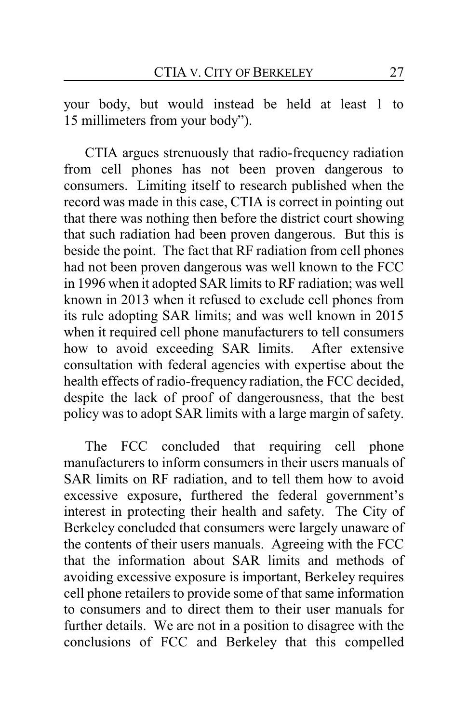your body, but would instead be held at least 1 to 15 millimeters from your body").

CTIA argues strenuously that radio-frequency radiation from cell phones has not been proven dangerous to consumers. Limiting itself to research published when the record was made in this case, CTIA is correct in pointing out that there was nothing then before the district court showing that such radiation had been proven dangerous. But this is beside the point. The fact that RF radiation from cell phones had not been proven dangerous was well known to the FCC in 1996 when it adopted SAR limits to RF radiation; was well known in 2013 when it refused to exclude cell phones from its rule adopting SAR limits; and was well known in 2015 when it required cell phone manufacturers to tell consumers how to avoid exceeding SAR limits. After extensive consultation with federal agencies with expertise about the health effects of radio-frequency radiation, the FCC decided, despite the lack of proof of dangerousness, that the best policy was to adopt SAR limits with a large margin of safety.

The FCC concluded that requiring cell phone manufacturers to inform consumers in their users manuals of SAR limits on RF radiation, and to tell them how to avoid excessive exposure, furthered the federal government's interest in protecting their health and safety. The City of Berkeley concluded that consumers were largely unaware of the contents of their users manuals. Agreeing with the FCC that the information about SAR limits and methods of avoiding excessive exposure is important, Berkeley requires cell phone retailers to provide some of that same information to consumers and to direct them to their user manuals for further details. We are not in a position to disagree with the conclusions of FCC and Berkeley that this compelled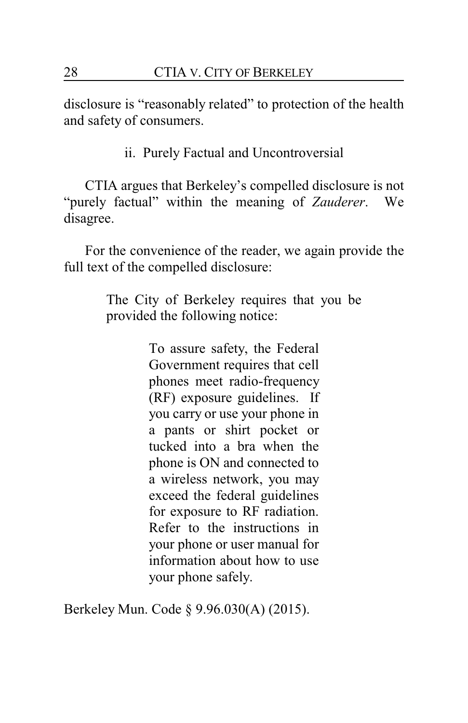disclosure is "reasonably related" to protection of the health and safety of consumers.

ii. Purely Factual and Uncontroversial

CTIA argues that Berkeley's compelled disclosure is not "purely factual" within the meaning of *Zauderer*. We disagree.

For the convenience of the reader, we again provide the full text of the compelled disclosure:

> The City of Berkeley requires that you be provided the following notice:

> > To assure safety, the Federal Government requires that cell phones meet radio-frequency (RF) exposure guidelines. If you carry or use your phone in a pants or shirt pocket or tucked into a bra when the phone is ON and connected to a wireless network, you may exceed the federal guidelines for exposure to RF radiation. Refer to the instructions in your phone or user manual for information about how to use your phone safely.

Berkeley Mun. Code § 9.96.030(A) (2015).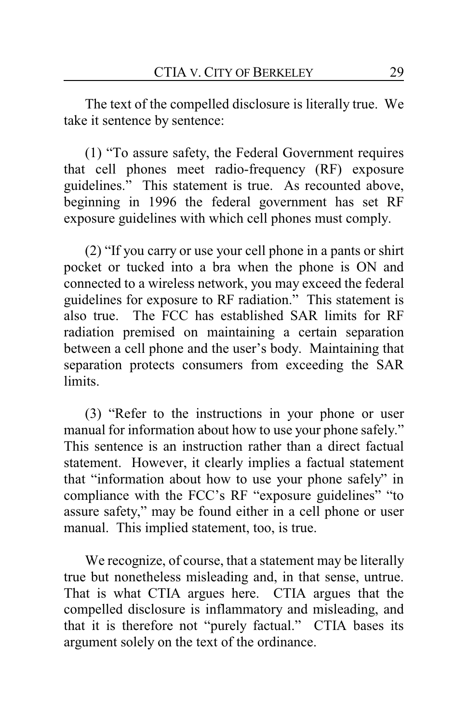The text of the compelled disclosure is literally true. We take it sentence by sentence:

(1) "To assure safety, the Federal Government requires that cell phones meet radio-frequency (RF) exposure guidelines." This statement is true. As recounted above, beginning in 1996 the federal government has set RF exposure guidelines with which cell phones must comply.

(2) "If you carry or use your cell phone in a pants or shirt pocket or tucked into a bra when the phone is ON and connected to a wireless network, you may exceed the federal guidelines for exposure to RF radiation." This statement is also true. The FCC has established SAR limits for RF radiation premised on maintaining a certain separation between a cell phone and the user's body. Maintaining that separation protects consumers from exceeding the SAR limits.

(3) "Refer to the instructions in your phone or user manual for information about how to use your phone safely." This sentence is an instruction rather than a direct factual statement. However, it clearly implies a factual statement that "information about how to use your phone safely" in compliance with the FCC's RF "exposure guidelines" "to assure safety," may be found either in a cell phone or user manual. This implied statement, too, is true.

We recognize, of course, that a statement may be literally true but nonetheless misleading and, in that sense, untrue. That is what CTIA argues here. CTIA argues that the compelled disclosure is inflammatory and misleading, and that it is therefore not "purely factual." CTIA bases its argument solely on the text of the ordinance.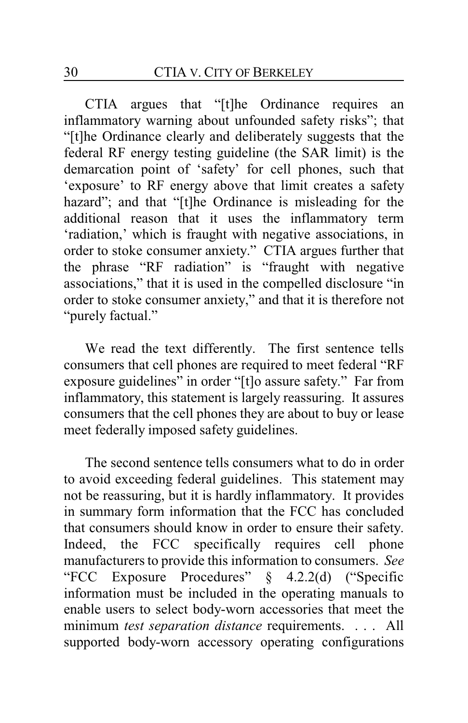CTIA argues that "[t]he Ordinance requires an inflammatory warning about unfounded safety risks"; that "[t]he Ordinance clearly and deliberately suggests that the federal RF energy testing guideline (the SAR limit) is the demarcation point of 'safety' for cell phones, such that 'exposure' to RF energy above that limit creates a safety hazard"; and that "[t]he Ordinance is misleading for the additional reason that it uses the inflammatory term 'radiation,' which is fraught with negative associations, in order to stoke consumer anxiety." CTIA argues further that the phrase "RF radiation" is "fraught with negative associations," that it is used in the compelled disclosure "in order to stoke consumer anxiety," and that it is therefore not "purely factual."

We read the text differently. The first sentence tells consumers that cell phones are required to meet federal "RF exposure guidelines" in order "[t]o assure safety." Far from inflammatory, this statement is largely reassuring. It assures consumers that the cell phones they are about to buy or lease meet federally imposed safety guidelines.

The second sentence tells consumers what to do in order to avoid exceeding federal guidelines. This statement may not be reassuring, but it is hardly inflammatory. It provides in summary form information that the FCC has concluded that consumers should know in order to ensure their safety. Indeed, the FCC specifically requires cell phone manufacturers to provide this information to consumers. *See* "FCC Exposure Procedures" § 4.2.2(d) ("Specific information must be included in the operating manuals to enable users to select body-worn accessories that meet the minimum *test separation distance* requirements. . . . All supported body-worn accessory operating configurations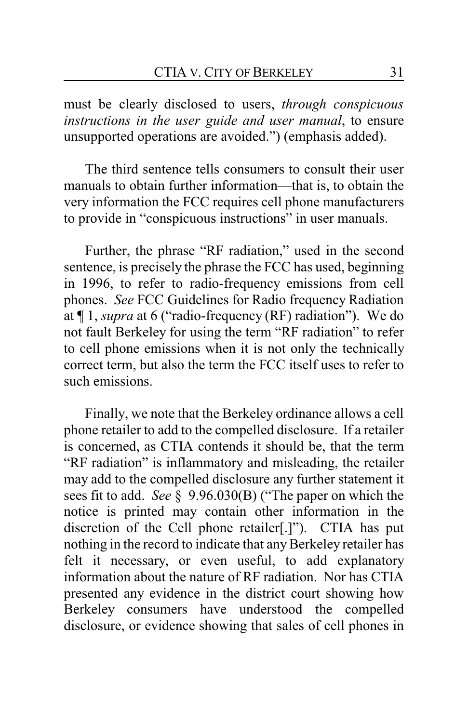must be clearly disclosed to users, *through conspicuous instructions in the user guide and user manual*, to ensure unsupported operations are avoided.") (emphasis added).

The third sentence tells consumers to consult their user manuals to obtain further information—that is, to obtain the very information the FCC requires cell phone manufacturers to provide in "conspicuous instructions" in user manuals.

Further, the phrase "RF radiation," used in the second sentence, is precisely the phrase the FCC has used, beginning in 1996, to refer to radio-frequency emissions from cell phones. *See* FCC Guidelines for Radio frequency Radiation at ¶ 1, *supra* at 6 ("radio-frequency (RF) radiation"). We do not fault Berkeley for using the term "RF radiation" to refer to cell phone emissions when it is not only the technically correct term, but also the term the FCC itself uses to refer to such emissions.

Finally, we note that the Berkeley ordinance allows a cell phone retailer to add to the compelled disclosure. If a retailer is concerned, as CTIA contends it should be, that the term "RF radiation" is inflammatory and misleading, the retailer may add to the compelled disclosure any further statement it sees fit to add. *See* § 9.96.030(B) ("The paper on which the notice is printed may contain other information in the discretion of the Cell phone retailer[.]"). CTIA has put nothing in the record to indicate that any Berkeley retailer has felt it necessary, or even useful, to add explanatory information about the nature of RF radiation. Nor has CTIA presented any evidence in the district court showing how Berkeley consumers have understood the compelled disclosure, or evidence showing that sales of cell phones in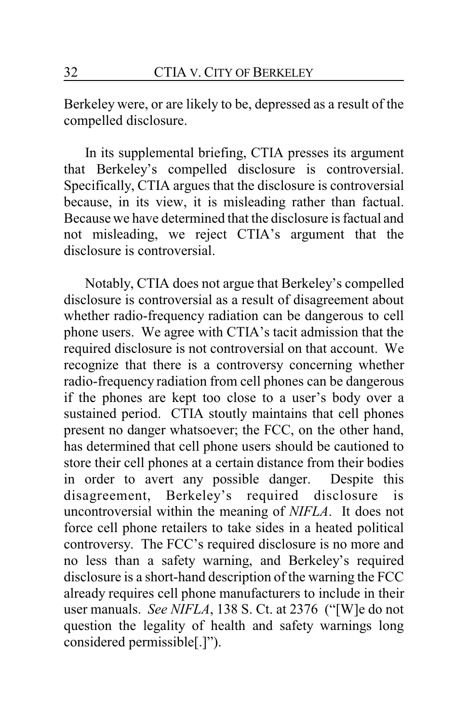Berkeley were, or are likely to be, depressed as a result of the compelled disclosure.

In its supplemental briefing, CTIA presses its argument that Berkeley's compelled disclosure is controversial. Specifically, CTIA argues that the disclosure is controversial because, in its view, it is misleading rather than factual. Because we have determined that the disclosure is factual and not misleading, we reject CTIA's argument that the disclosure is controversial.

Notably, CTIA does not argue that Berkeley's compelled disclosure is controversial as a result of disagreement about whether radio-frequency radiation can be dangerous to cell phone users. We agree with CTIA's tacit admission that the required disclosure is not controversial on that account. We recognize that there is a controversy concerning whether radio-frequency radiation from cell phones can be dangerous if the phones are kept too close to a user's body over a sustained period. CTIA stoutly maintains that cell phones present no danger whatsoever; the FCC, on the other hand, has determined that cell phone users should be cautioned to store their cell phones at a certain distance from their bodies in order to avert any possible danger. Despite this disagreement, Berkeley's required disclosure is uncontroversial within the meaning of *NIFLA*. It does not force cell phone retailers to take sides in a heated political controversy. The FCC's required disclosure is no more and no less than a safety warning, and Berkeley's required disclosure is a short-hand description of the warning the FCC already requires cell phone manufacturers to include in their user manuals. *See NIFLA*, 138 S. Ct. at 2376 ("[W]e do not question the legality of health and safety warnings long considered permissible[.]").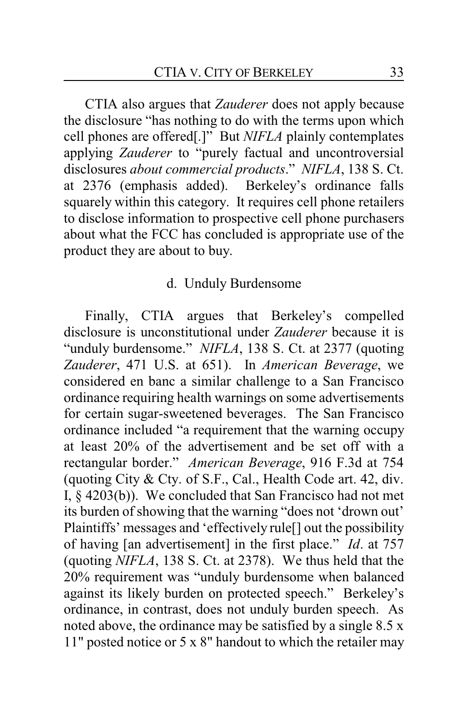CTIA also argues that *Zauderer* does not apply because the disclosure "has nothing to do with the terms upon which cell phones are offered[.]" But *NIFLA* plainly contemplates applying *Zauderer* to "purely factual and uncontroversial disclosures *about commercial products*." *NIFLA*, 138 S. Ct. at 2376 (emphasis added). Berkeley's ordinance falls squarely within this category. It requires cell phone retailers to disclose information to prospective cell phone purchasers about what the FCC has concluded is appropriate use of the product they are about to buy.

### d. Unduly Burdensome

Finally, CTIA argues that Berkeley's compelled disclosure is unconstitutional under *Zauderer* because it is "unduly burdensome." NIFLA, 138 S. Ct. at 2377 (quoting *Zauderer*, 471 U.S. at 651). In *American Beverage*, we considered en banc a similar challenge to a San Francisco ordinance requiring health warnings on some advertisements for certain sugar-sweetened beverages. The San Francisco ordinance included "a requirement that the warning occupy at least 20% of the advertisement and be set off with a rectangular border." *American Beverage*, 916 F.3d at 754 (quoting City & Cty. of S.F., Cal., Health Code art. 42, div. I, § 4203(b)). We concluded that San Francisco had not met its burden of showing that the warning "does not 'drown out' Plaintiffs' messages and 'effectively rule[] out the possibility of having [an advertisement] in the first place." *Id*. at 757 (quoting *NIFLA*, 138 S. Ct. at 2378). We thus held that the 20% requirement was "unduly burdensome when balanced against its likely burden on protected speech." Berkeley's ordinance, in contrast, does not unduly burden speech. As noted above, the ordinance may be satisfied by a single 8.5 x 11" posted notice or 5 x 8" handout to which the retailer may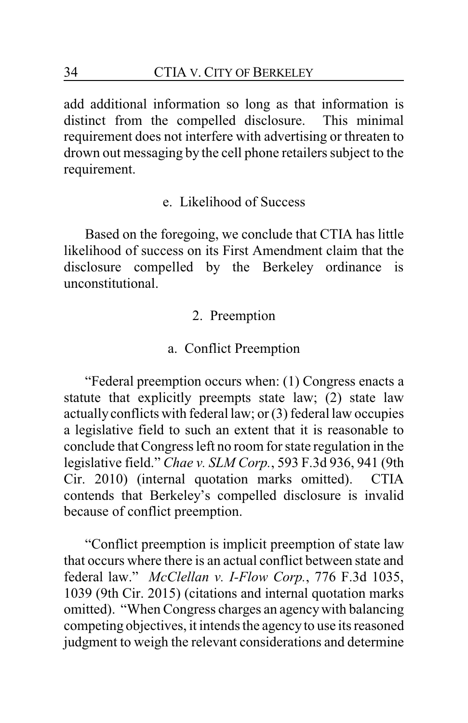add additional information so long as that information is distinct from the compelled disclosure. This minimal requirement does not interfere with advertising or threaten to drown out messaging by the cell phone retailers subject to the requirement.

e. Likelihood of Success

Based on the foregoing, we conclude that CTIA has little likelihood of success on its First Amendment claim that the disclosure compelled by the Berkeley ordinance is unconstitutional.

#### 2. Preemption

#### a. Conflict Preemption

"Federal preemption occurs when: (1) Congress enacts a statute that explicitly preempts state law; (2) state law actuallyconflicts with federal law; or (3) federal law occupies a legislative field to such an extent that it is reasonable to conclude that Congress left no room for state regulation in the legislative field." *Chae v. SLM Corp.*, 593 F.3d 936, 941 (9th Cir. 2010) (internal quotation marks omitted). CTIA contends that Berkeley's compelled disclosure is invalid because of conflict preemption.

"Conflict preemption is implicit preemption of state law that occurs where there is an actual conflict between state and federal law." *McClellan v. I-Flow Corp.*, 776 F.3d 1035, 1039 (9th Cir. 2015) (citations and internal quotation marks omitted). "When Congress charges an agencywith balancing competing objectives, it intends the agencyto use its reasoned judgment to weigh the relevant considerations and determine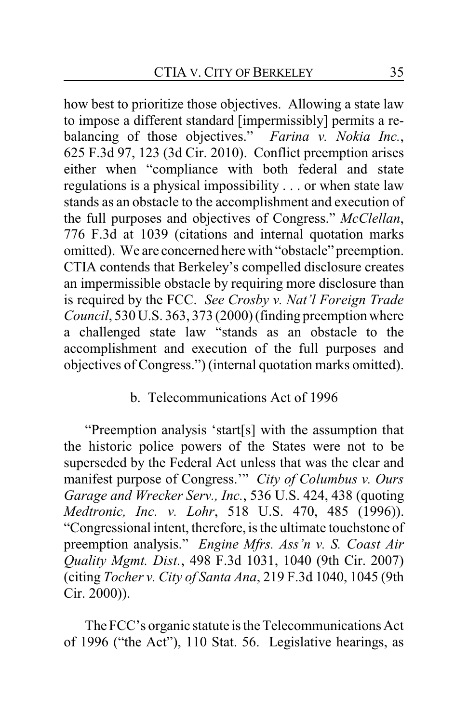how best to prioritize those objectives. Allowing a state law to impose a different standard [impermissibly] permits a rebalancing of those objectives." *Farina v. Nokia Inc.*, 625 F.3d 97, 123 (3d Cir. 2010). Conflict preemption arises either when "compliance with both federal and state regulations is a physical impossibility . . . or when state law stands as an obstacle to the accomplishment and execution of the full purposes and objectives of Congress." *McClellan*, 776 F.3d at 1039 (citations and internal quotation marks omitted). We are concerned here with "obstacle" preemption. CTIA contends that Berkeley's compelled disclosure creates an impermissible obstacle by requiring more disclosure than is required by the FCC. *See Crosby v. Nat'l Foreign Trade Council*, 530 U.S. 363, 373 (2000) (finding preemption where a challenged state law "stands as an obstacle to the accomplishment and execution of the full purposes and objectives of Congress.") (internal quotation marks omitted).

### b. Telecommunications Act of 1996

"Preemption analysis 'start[s] with the assumption that the historic police powers of the States were not to be superseded by the Federal Act unless that was the clear and manifest purpose of Congress.'" *City of Columbus v. Ours Garage and Wrecker Serv., Inc.*, 536 U.S. 424, 438 (quoting *Medtronic, Inc. v. Lohr*, 518 U.S. 470, 485 (1996)). "Congressional intent, therefore, is the ultimate touchstone of preemption analysis." *Engine Mfrs. Ass'n v. S. Coast Air Quality Mgmt. Dist.*, 498 F.3d 1031, 1040 (9th Cir. 2007) (citing *Tocher v. City of Santa Ana*, 219 F.3d 1040, 1045 (9th Cir. 2000)).

The FCC's organic statute is the Telecommunications Act of 1996 ("the Act"), 110 Stat. 56. Legislative hearings, as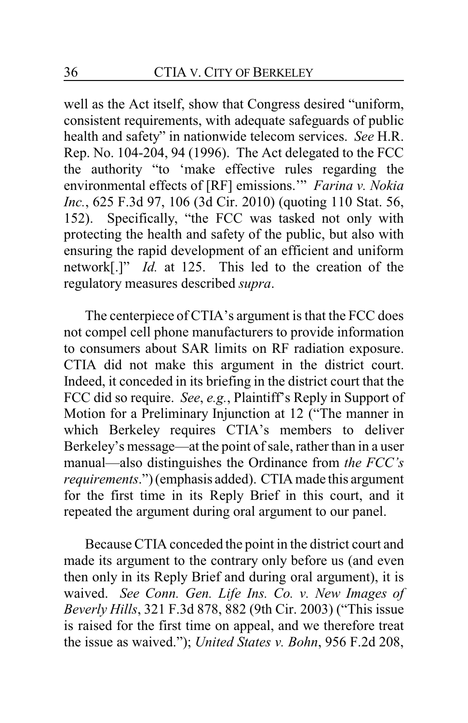well as the Act itself, show that Congress desired "uniform, consistent requirements, with adequate safeguards of public health and safety" in nationwide telecom services. *See* H.R. Rep. No. 104-204, 94 (1996). The Act delegated to the FCC the authority "to 'make effective rules regarding the environmental effects of [RF] emissions.'" *Farina v. Nokia Inc.*, 625 F.3d 97, 106 (3d Cir. 2010) (quoting 110 Stat. 56, 152). Specifically, "the FCC was tasked not only with protecting the health and safety of the public, but also with ensuring the rapid development of an efficient and uniform network[.]" *Id.* at 125. This led to the creation of the regulatory measures described *supra*.

The centerpiece of CTIA's argument is that the FCC does not compel cell phone manufacturers to provide information to consumers about SAR limits on RF radiation exposure. CTIA did not make this argument in the district court. Indeed, it conceded in its briefing in the district court that the FCC did so require. *See*, *e.g.*, Plaintiff's Reply in Support of Motion for a Preliminary Injunction at 12 ("The manner in which Berkeley requires CTIA's members to deliver Berkeley's message—at the point of sale, rather than in a user manual—also distinguishes the Ordinance from *the FCC's requirements*.") (emphasis added). CTIA made this argument for the first time in its Reply Brief in this court, and it repeated the argument during oral argument to our panel.

Because CTIA conceded the point in the district court and made its argument to the contrary only before us (and even then only in its Reply Brief and during oral argument), it is waived. *See Conn. Gen. Life Ins. Co. v. New Images of Beverly Hills*, 321 F.3d 878, 882 (9th Cir. 2003) ("This issue is raised for the first time on appeal, and we therefore treat the issue as waived."); *United States v. Bohn*, 956 F.2d 208,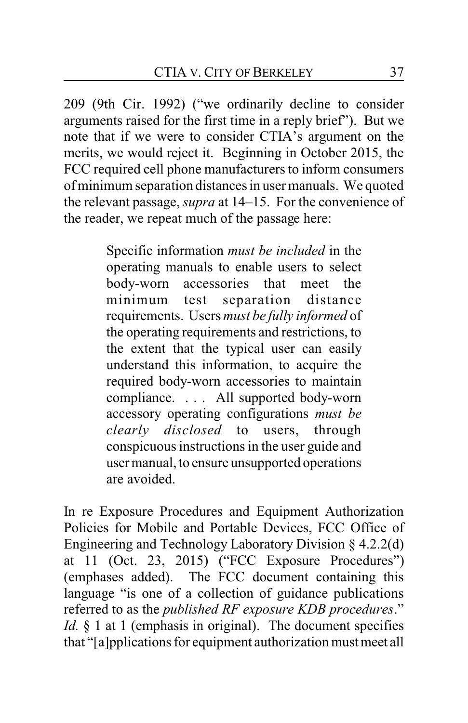209 (9th Cir. 1992) ("we ordinarily decline to consider arguments raised for the first time in a reply brief"). But we note that if we were to consider CTIA's argument on the merits, we would reject it. Beginning in October 2015, the FCC required cell phone manufacturers to inform consumers of minimum separation distances in user manuals. We quoted the relevant passage, *supra* at 14–15. For the convenience of the reader, we repeat much of the passage here:

> Specific information *must be included* in the operating manuals to enable users to select body-worn accessories that meet the minimum test separation distance requirements. Users *must be fully informed* of the operating requirements and restrictions, to the extent that the typical user can easily understand this information, to acquire the required body-worn accessories to maintain compliance. . . . All supported body-worn accessory operating configurations *must be clearly disclosed* to users, through conspicuous instructions in the user guide and usermanual, to ensure unsupported operations are avoided.

In re Exposure Procedures and Equipment Authorization Policies for Mobile and Portable Devices, FCC Office of Engineering and Technology Laboratory Division § 4.2.2(d) at 11 (Oct. 23, 2015) ("FCC Exposure Procedures") (emphases added). The FCC document containing this language "is one of a collection of guidance publications referred to as the *published RF exposure KDB procedures*." *Id.* § 1 at 1 (emphasis in original). The document specifies that "[a]pplications for equipment authorization mustmeet all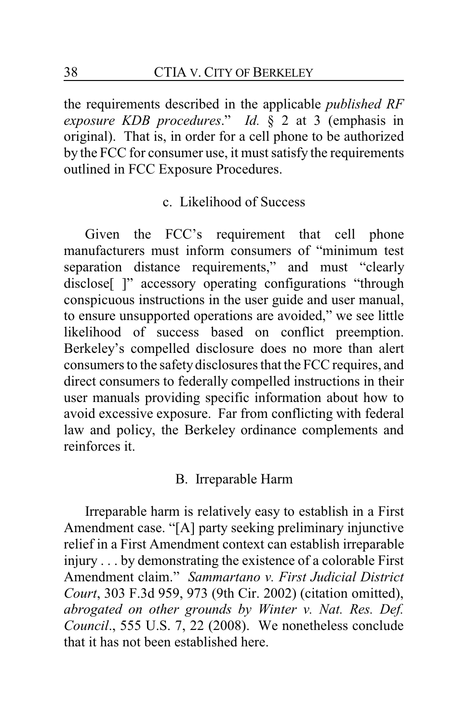the requirements described in the applicable *published RF exposure KDB procedures*." *Id.* § 2 at 3 (emphasis in original). That is, in order for a cell phone to be authorized by the FCC for consumer use, it must satisfy the requirements outlined in FCC Exposure Procedures.

#### c. Likelihood of Success

Given the FCC's requirement that cell phone manufacturers must inform consumers of "minimum test separation distance requirements," and must "clearly disclose<sup>[ ]"</sup> accessory operating configurations "through conspicuous instructions in the user guide and user manual, to ensure unsupported operations are avoided," we see little likelihood of success based on conflict preemption. Berkeley's compelled disclosure does no more than alert consumers to the safetydisclosures that the FCC requires, and direct consumers to federally compelled instructions in their user manuals providing specific information about how to avoid excessive exposure. Far from conflicting with federal law and policy, the Berkeley ordinance complements and reinforces it.

### B. Irreparable Harm

Irreparable harm is relatively easy to establish in a First Amendment case. "[A] party seeking preliminary injunctive relief in a First Amendment context can establish irreparable injury . . . by demonstrating the existence of a colorable First Amendment claim." *Sammartano v. First Judicial District Court*, 303 F.3d 959, 973 (9th Cir. 2002) (citation omitted), *abrogated on other grounds by Winter v. Nat. Res. Def. Council*., 555 U.S. 7, 22 (2008). We nonetheless conclude that it has not been established here.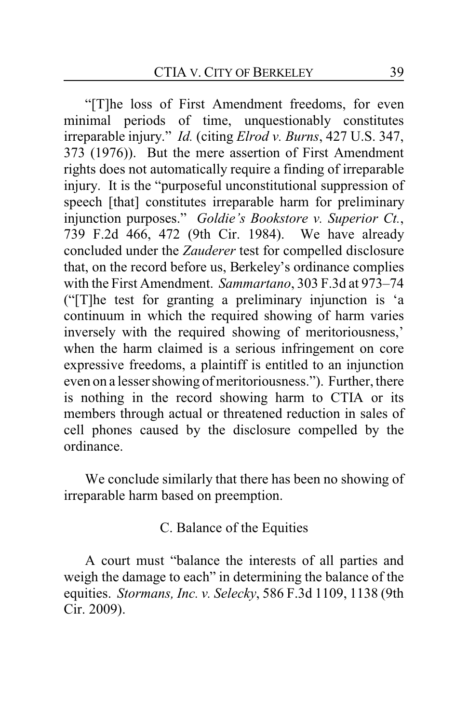"[T]he loss of First Amendment freedoms, for even minimal periods of time, unquestionably constitutes irreparable injury." *Id.* (citing *Elrod v. Burns*, 427 U.S. 347, 373 (1976)). But the mere assertion of First Amendment rights does not automatically require a finding of irreparable injury. It is the "purposeful unconstitutional suppression of speech [that] constitutes irreparable harm for preliminary injunction purposes." *Goldie's Bookstore v. Superior Ct.*, 739 F.2d 466, 472 (9th Cir. 1984). We have already concluded under the *Zauderer* test for compelled disclosure that, on the record before us, Berkeley's ordinance complies with the First Amendment. *Sammartano*, 303 F.3d at 973–74 ("[T]he test for granting a preliminary injunction is 'a continuum in which the required showing of harm varies inversely with the required showing of meritoriousness,' when the harm claimed is a serious infringement on core expressive freedoms, a plaintiff is entitled to an injunction even on a lesser showing of meritoriousness."). Further, there is nothing in the record showing harm to CTIA or its members through actual or threatened reduction in sales of cell phones caused by the disclosure compelled by the ordinance.

We conclude similarly that there has been no showing of irreparable harm based on preemption.

C. Balance of the Equities

A court must "balance the interests of all parties and weigh the damage to each" in determining the balance of the equities. *Stormans, Inc. v. Selecky*, 586 F.3d 1109, 1138 (9th Cir. 2009).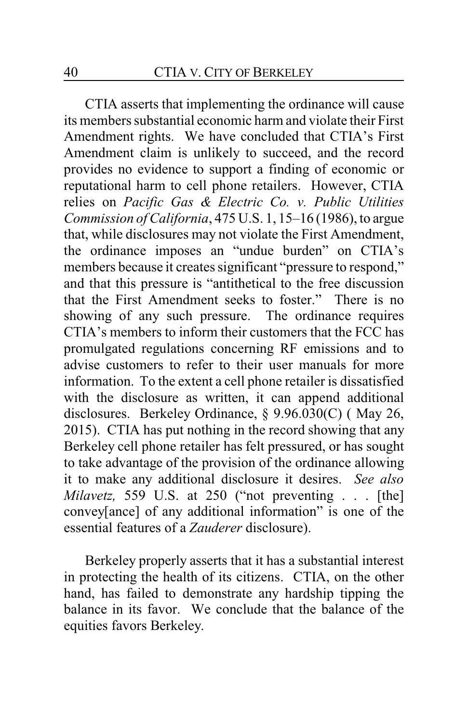CTIA asserts that implementing the ordinance will cause its members substantial economic harm and violate their First Amendment rights. We have concluded that CTIA's First Amendment claim is unlikely to succeed, and the record provides no evidence to support a finding of economic or reputational harm to cell phone retailers. However, CTIA relies on *Pacific Gas & Electric Co. v. Public Utilities Commission of California*, 475 U.S. 1, 15–16 (1986), to argue that, while disclosures may not violate the First Amendment, the ordinance imposes an "undue burden" on CTIA's members because it creates significant "pressure to respond," and that this pressure is "antithetical to the free discussion that the First Amendment seeks to foster." There is no showing of any such pressure. The ordinance requires CTIA's members to inform their customers that the FCC has promulgated regulations concerning RF emissions and to advise customers to refer to their user manuals for more information. To the extent a cell phone retailer is dissatisfied with the disclosure as written, it can append additional disclosures. Berkeley Ordinance, § 9.96.030(C) ( May 26, 2015). CTIA has put nothing in the record showing that any Berkeley cell phone retailer has felt pressured, or has sought to take advantage of the provision of the ordinance allowing it to make any additional disclosure it desires. *See also Milavetz,* 559 U.S. at 250 ("not preventing . . . [the] convey[ance] of any additional information" is one of the essential features of a *Zauderer* disclosure).

Berkeley properly asserts that it has a substantial interest in protecting the health of its citizens. CTIA, on the other hand, has failed to demonstrate any hardship tipping the balance in its favor. We conclude that the balance of the equities favors Berkeley.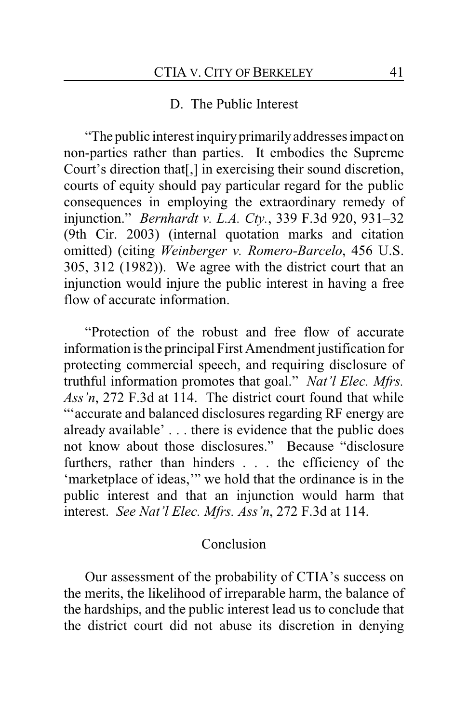#### D. The Public Interest

"The public interest inquiryprimarilyaddresses impact on non-parties rather than parties. It embodies the Supreme Court's direction that[,] in exercising their sound discretion, courts of equity should pay particular regard for the public consequences in employing the extraordinary remedy of injunction." *Bernhardt v. L.A. Cty.*, 339 F.3d 920, 931–32 (9th Cir. 2003) (internal quotation marks and citation omitted) (citing *Weinberger v. Romero-Barcelo*, 456 U.S. 305, 312 (1982)). We agree with the district court that an injunction would injure the public interest in having a free flow of accurate information.

"Protection of the robust and free flow of accurate information is the principal First Amendment justification for protecting commercial speech, and requiring disclosure of truthful information promotes that goal." *Nat'l Elec. Mfrs. Ass'n*, 272 F.3d at 114. The district court found that while "'accurate and balanced disclosures regarding RF energy are already available' . . . there is evidence that the public does not know about those disclosures." Because "disclosure furthers, rather than hinders . . . the efficiency of the 'marketplace of ideas,'" we hold that the ordinance is in the public interest and that an injunction would harm that interest. *See Nat'l Elec. Mfrs. Ass'n*, 272 F.3d at 114.

#### Conclusion

Our assessment of the probability of CTIA's success on the merits, the likelihood of irreparable harm, the balance of the hardships, and the public interest lead us to conclude that the district court did not abuse its discretion in denying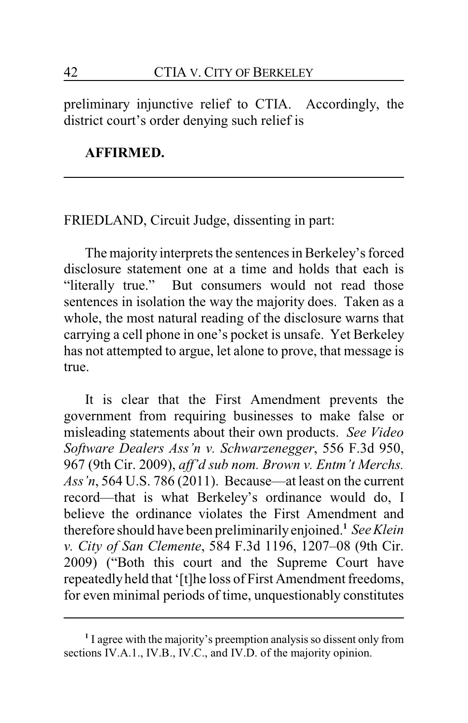preliminary injunctive relief to CTIA. Accordingly, the district court's order denying such relief is

#### **AFFIRMED.**

FRIEDLAND, Circuit Judge, dissenting in part:

The majority interprets the sentences in Berkeley's forced disclosure statement one at a time and holds that each is "literally true." But consumers would not read those sentences in isolation the way the majority does. Taken as a whole, the most natural reading of the disclosure warns that carrying a cell phone in one's pocket is unsafe. Yet Berkeley has not attempted to argue, let alone to prove, that message is true.

It is clear that the First Amendment prevents the government from requiring businesses to make false or misleading statements about their own products. *See Video Software Dealers Ass'n v. Schwarzenegger*, 556 F.3d 950, 967 (9th Cir. 2009), *aff'd sub nom. Brown v. Entm't Merchs. Ass'n*, 564 U.S. 786 (2011). Because—at least on the current record—that is what Berkeley's ordinance would do, I believe the ordinance violates the First Amendment and therefore should have been preliminarily enjoined.**<sup>1</sup>** *See Klein v. City of San Clemente*, 584 F.3d 1196, 1207–08 (9th Cir. 2009) ("Both this court and the Supreme Court have repeatedlyheld that '[t]he loss of First Amendment freedoms, for even minimal periods of time, unquestionably constitutes

**<sup>1</sup>** I agree with the majority's preemption analysis so dissent only from sections IV.A.1., IV.B., IV.C., and IV.D. of the majority opinion.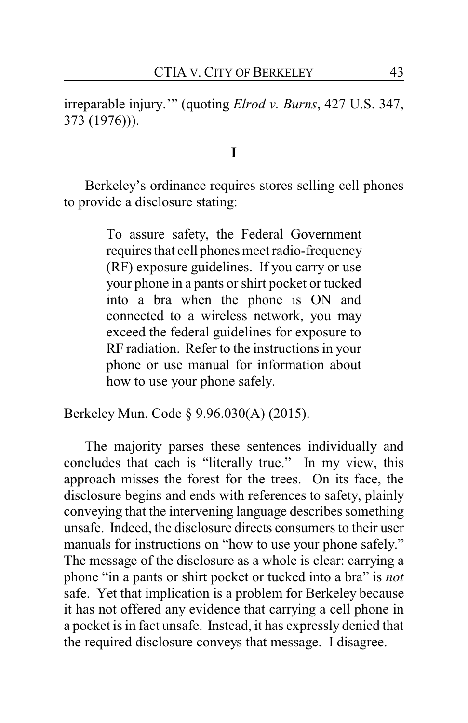irreparable injury.'" (quoting *Elrod v. Burns*, 427 U.S. 347, 373 (1976))).

**I**

Berkeley's ordinance requires stores selling cell phones to provide a disclosure stating:

> To assure safety, the Federal Government requires that cell phones meet radio-frequency (RF) exposure guidelines. If you carry or use your phone in a pants or shirt pocket or tucked into a bra when the phone is ON and connected to a wireless network, you may exceed the federal guidelines for exposure to RF radiation. Refer to the instructions in your phone or use manual for information about how to use your phone safely.

Berkeley Mun. Code § 9.96.030(A) (2015).

The majority parses these sentences individually and concludes that each is "literally true." In my view, this approach misses the forest for the trees. On its face, the disclosure begins and ends with references to safety, plainly conveying that the intervening language describes something unsafe. Indeed, the disclosure directs consumers to their user manuals for instructions on "how to use your phone safely." The message of the disclosure as a whole is clear: carrying a phone "in a pants or shirt pocket or tucked into a bra" is *not* safe. Yet that implication is a problem for Berkeley because it has not offered any evidence that carrying a cell phone in a pocket is in fact unsafe. Instead, it has expressly denied that the required disclosure conveys that message. I disagree.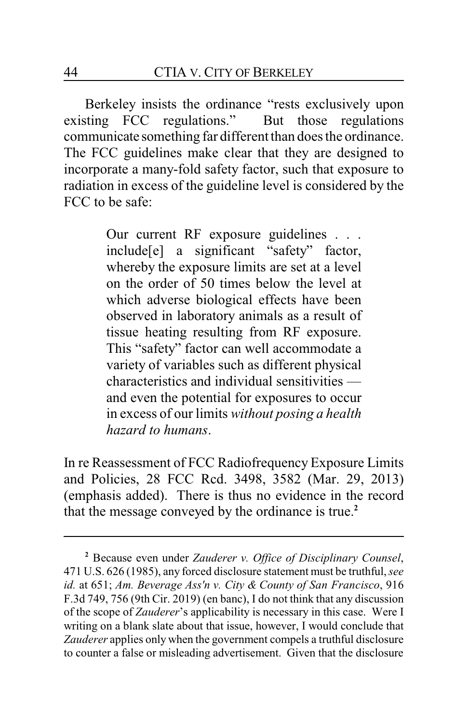Berkeley insists the ordinance "rests exclusively upon existing FCC regulations." But those regulations communicate something far different than does the ordinance. The FCC guidelines make clear that they are designed to incorporate a many-fold safety factor, such that exposure to radiation in excess of the guideline level is considered by the FCC to be safe:

> Our current RF exposure guidelines . . . include[e] a significant "safety" factor, whereby the exposure limits are set at a level on the order of 50 times below the level at which adverse biological effects have been observed in laboratory animals as a result of tissue heating resulting from RF exposure. This "safety" factor can well accommodate a variety of variables such as different physical characteristics and individual sensitivities and even the potential for exposures to occur in excess of our limits *without posing a health hazard to humans*.

In re Reassessment of FCC Radiofrequency Exposure Limits and Policies, 28 FCC Rcd. 3498, 3582 (Mar. 29, 2013) (emphasis added). There is thus no evidence in the record that the message conveyed by the ordinance is true.**<sup>2</sup>**

**<sup>2</sup>** Because even under *Zauderer v. Office of Disciplinary Counsel*, 471 U.S. 626 (1985), any forced disclosure statement must be truthful, *see id.* at 651; *Am. Beverage Ass'n v. City & County of San Francisco*, 916 F.3d 749, 756 (9th Cir. 2019) (en banc), I do not think that any discussion of the scope of *Zauderer*'s applicability is necessary in this case. Were I writing on a blank slate about that issue, however, I would conclude that *Zauderer* applies only when the government compels a truthful disclosure to counter a false or misleading advertisement. Given that the disclosure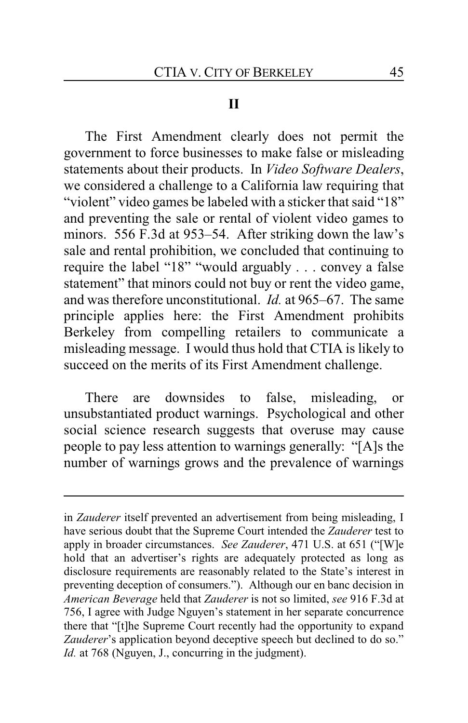#### **II**

The First Amendment clearly does not permit the government to force businesses to make false or misleading statements about their products. In *Video Software Dealers*, we considered a challenge to a California law requiring that "violent" video games be labeled with a sticker that said "18" and preventing the sale or rental of violent video games to minors. 556 F.3d at 953–54. After striking down the law's sale and rental prohibition, we concluded that continuing to require the label "18" "would arguably . . . convey a false statement" that minors could not buy or rent the video game, and was therefore unconstitutional. *Id.* at 965–67. The same principle applies here: the First Amendment prohibits Berkeley from compelling retailers to communicate a misleading message. I would thus hold that CTIA is likely to succeed on the merits of its First Amendment challenge.

There are downsides to false, misleading, or unsubstantiated product warnings. Psychological and other social science research suggests that overuse may cause people to pay less attention to warnings generally: "[A]s the number of warnings grows and the prevalence of warnings

in *Zauderer* itself prevented an advertisement from being misleading, I have serious doubt that the Supreme Court intended the *Zauderer* test to apply in broader circumstances. *See Zauderer*, 471 U.S. at 651 ("[W]e hold that an advertiser's rights are adequately protected as long as disclosure requirements are reasonably related to the State's interest in preventing deception of consumers."). Although our en banc decision in *American Beverage* held that *Zauderer* is not so limited, *see* 916 F.3d at 756, I agree with Judge Nguyen's statement in her separate concurrence there that "[t]he Supreme Court recently had the opportunity to expand Zauderer's application beyond deceptive speech but declined to do so." *Id.* at 768 (Nguyen, J., concurring in the judgment).